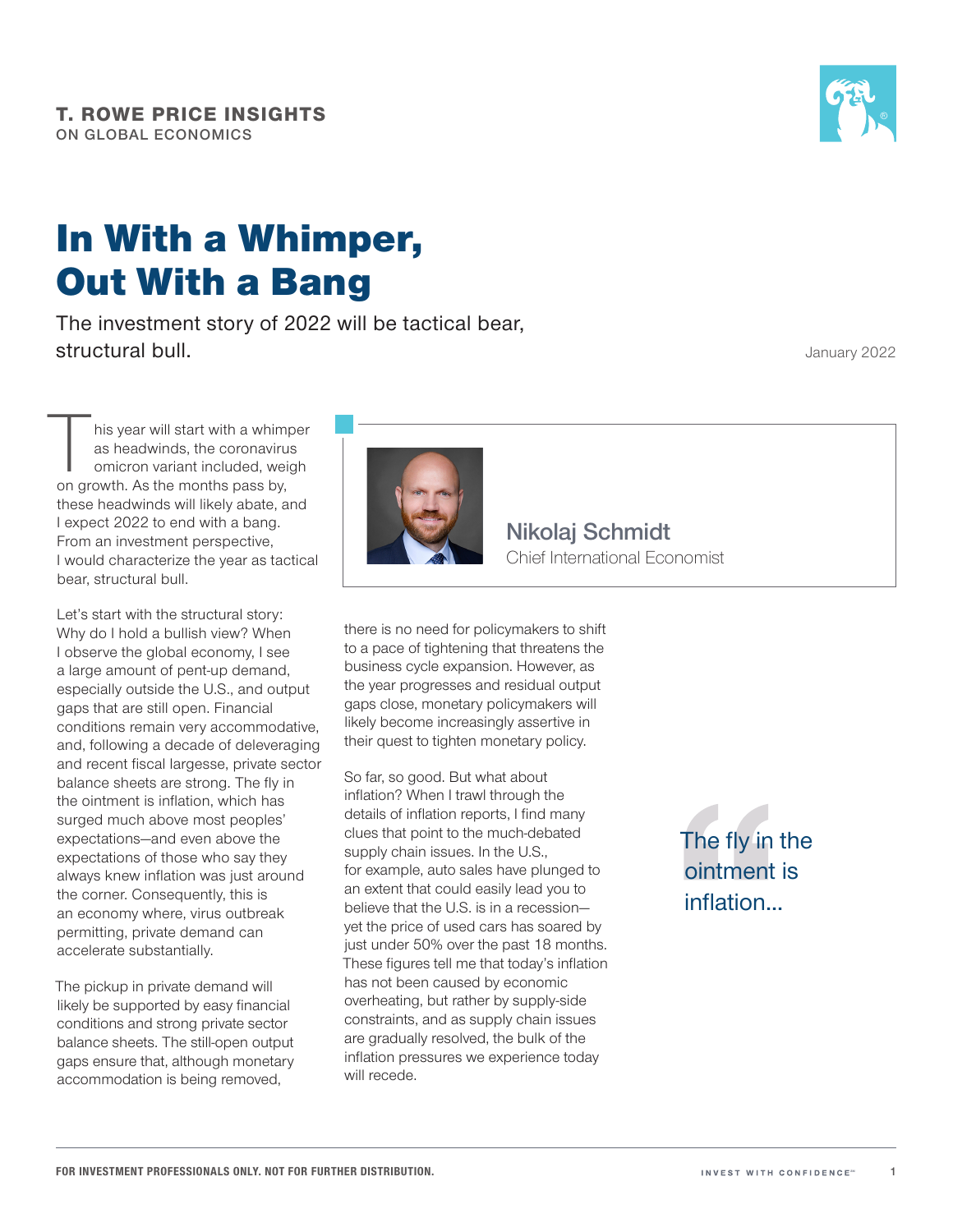

## In With a Whimper, Out With a Bang

The investment story of 2022 will be tactical bear, structural bull.

January 2022

his year will start with a whimper as headwinds, the coronavirus omicron variant included, weigh on growth. As the months pass by, these headwinds will likely abate, and I expect 2022 to end with a bang. From an investment perspective, I would characterize the year as tactical bear, structural bull.

Let's start with the structural story: Why do I hold a bullish view? When I observe the global economy, I see a large amount of pent‑up demand, especially outside the U.S., and output gaps that are still open. Financial conditions remain very accommodative, and, following a decade of deleveraging and recent fiscal largesse, private sector balance sheets are strong. The fly in the ointment is inflation, which has surged much above most peoples' expectations—and even above the expectations of those who say they always knew inflation was just around the corner. Consequently, this is an economy where, virus outbreak permitting, private demand can accelerate substantially.

The pickup in private demand will likely be supported by easy financial conditions and strong private sector balance sheets. The still‑open output gaps ensure that, although monetary accommodation is being removed,



**Nikolaj Schmidt** Chief International Economist

there is no need for policymakers to shift to a pace of tightening that threatens the business cycle expansion. However, as the year progresses and residual output gaps close, monetary policymakers will likely become increasingly assertive in their quest to tighten monetary policy.

So far, so good. But what about inflation? When I trawl through the details of inflation reports, I find many clues that point to the much‑debated supply chain issues. In the U.S., for example, auto sales have plunged to an extent that could easily lead you to believe that the U.S. is in a recession yet the price of used cars has soared by just under 50% over the past 18 months. These figures tell me that today's inflation has not been caused by economic overheating, but rather by supply‑side constraints, and as supply chain issues are gradually resolved, the bulk of the inflation pressures we experience today will recede.

The fly in the ointment is inflation...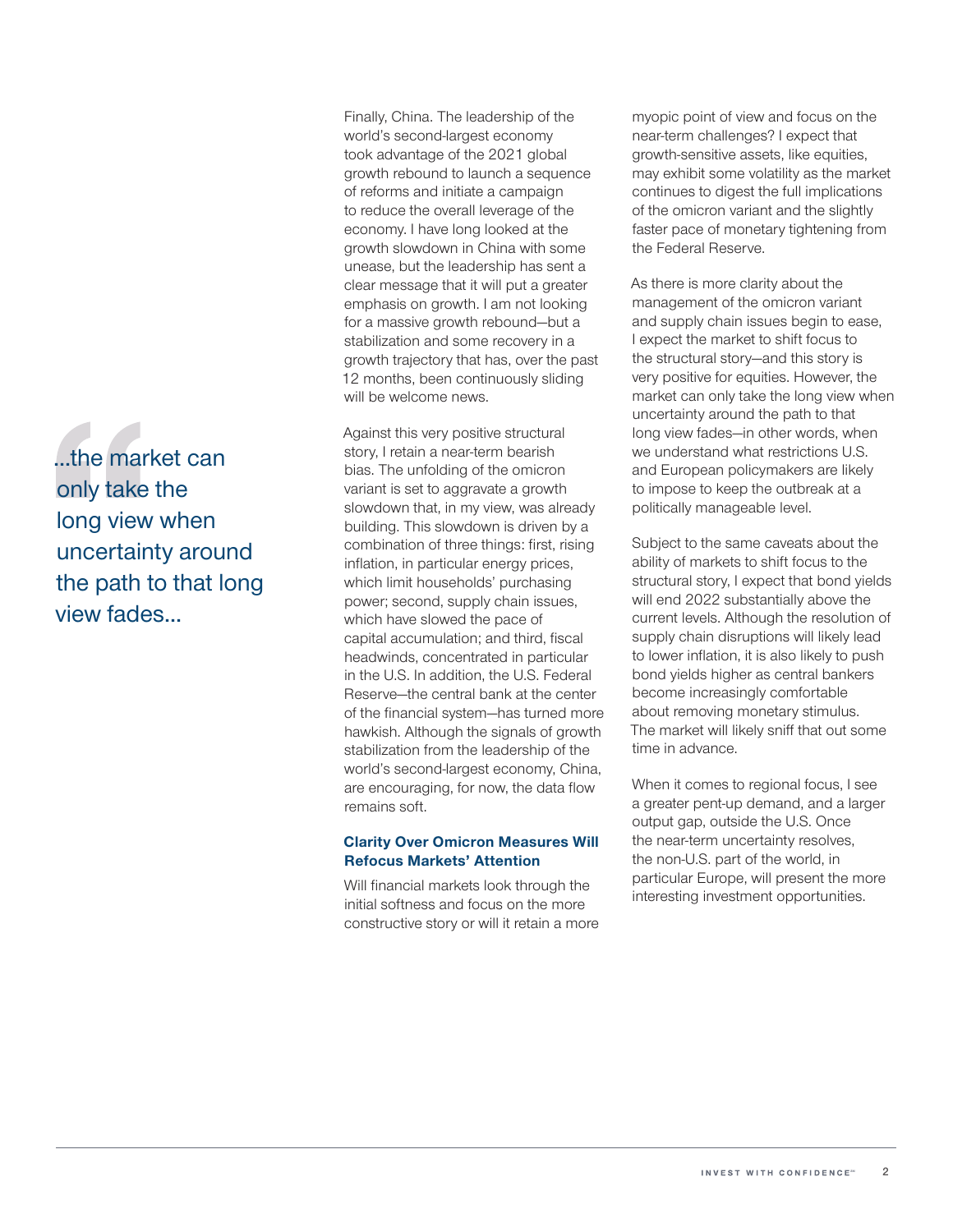...the market can only take the long view when uncertainty around the path to that long view fades...

Finally, China. The leadership of the world's second-largest economy took advantage of the 2021 global growth rebound to launch a sequence of reforms and initiate a campaign to reduce the overall leverage of the economy. I have long looked at the growth slowdown in China with some unease, but the leadership has sent a clear message that it will put a greater emphasis on growth. I am not looking for a massive growth rebound—but a stabilization and some recovery in a growth trajectory that has, over the past 12 months, been continuously sliding will be welcome news.

Against this very positive structural story, I retain a near-term bearish bias. The unfolding of the omicron variant is set to aggravate a growth slowdown that, in my view, was already building. This slowdown is driven by a combination of three things: first, rising inflation, in particular energy prices, which limit households' purchasing power; second, supply chain issues, which have slowed the pace of capital accumulation; and third, fiscal headwinds, concentrated in particular in the U.S. In addition, the U.S. Federal Reserve—the central bank at the center of the financial system—has turned more hawkish. Although the signals of growth stabilization from the leadership of the world's second-largest economy, China, are encouraging, for now, the data flow remains soft.

## **Clarity Over Omicron Measures Will Refocus Markets' Attention**

Will financial markets look through the initial softness and focus on the more constructive story or will it retain a more myopic point of view and focus on the near‑term challenges? I expect that growth‑sensitive assets, like equities, may exhibit some volatility as the market continues to digest the full implications of the omicron variant and the slightly faster pace of monetary tightening from the Federal Reserve.

As there is more clarity about the management of the omicron variant and supply chain issues begin to ease, I expect the market to shift focus to the structural story—and this story is very positive for equities. However, the market can only take the long view when uncertainty around the path to that long view fades—in other words, when we understand what restrictions U.S. and European policymakers are likely to impose to keep the outbreak at a politically manageable level.

Subject to the same caveats about the ability of markets to shift focus to the structural story, I expect that bond yields will end 2022 substantially above the current levels. Although the resolution of supply chain disruptions will likely lead to lower inflation, it is also likely to push bond yields higher as central bankers become increasingly comfortable about removing monetary stimulus. The market will likely sniff that out some time in advance.

When it comes to regional focus, I see a greater pent-up demand, and a larger output gap, outside the U.S. Once the near-term uncertainty resolves, the non‑U.S. part of the world, in particular Europe, will present the more interesting investment opportunities.